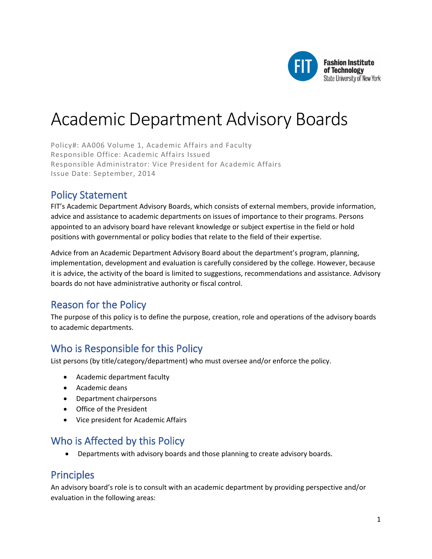

# Academic Department Advisory Boards

Policy#: AA006 Volume 1, Academic Affairs and Faculty Responsible Office: Academic Affairs Issued Responsible Administrator: Vice President for Academic Affairs Issue Date: September, 2014

### Policy Statement

FIT's Academic Department Advisory Boards, which consists of external members, provide information, advice and assistance to academic departments on issues of importance to their programs. Persons appointed to an advisory board have relevant knowledge or subject expertise in the field or hold positions with governmental or policy bodies that relate to the field of their expertise.

Advice from an Academic Department Advisory Board about the department's program, planning, implementation, development and evaluation is carefully considered by the college. However, because it is advice, the activity of the board is limited to suggestions, recommendations and assistance. Advisory boards do not have administrative authority or fiscal control.

# Reason for the Policy

The purpose of this policy is to define the purpose, creation, role and operations of the advisory boards to academic departments.

# Who is Responsible for this Policy

List persons (by title/category/department) who must oversee and/or enforce the policy.

- Academic department faculty
- Academic deans
- Department chairpersons
- Office of the President
- Vice president for Academic Affairs

# Who is Affected by this Policy

• Departments with advisory boards and those planning to create advisory boards.

### Principles

An advisory board's role is to consult with an academic department by providing perspective and/or evaluation in the following areas: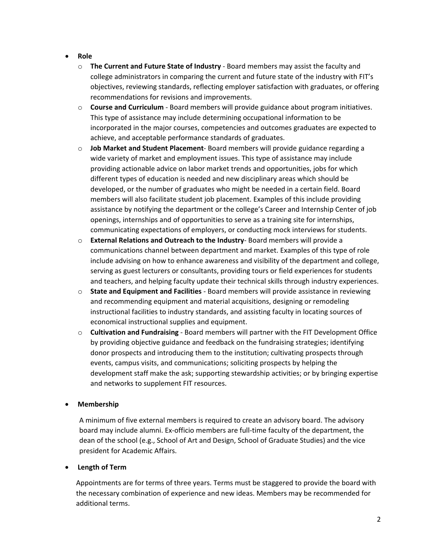- **Role**
	- o **The Current and Future State of Industry** Board members may assist the faculty and college administrators in comparing the current and future state of the industry with FIT's objectives, reviewing standards, reflecting employer satisfaction with graduates, or offering recommendations for revisions and improvements.
	- o **Course and Curriculum**  Board members will provide guidance about program initiatives. This type of assistance may include determining occupational information to be incorporated in the major courses, competencies and outcomes graduates are expected to achieve, and acceptable performance standards of graduates.
	- o **Job Market and Student Placement** Board members will provide guidance regarding a wide variety of market and employment issues. This type of assistance may include providing actionable advice on labor market trends and opportunities, jobs for which different types of education is needed and new disciplinary areas which should be developed, or the number of graduates who might be needed in a certain field. Board members will also facilitate student job placement. Examples of this include providing assistance by notifying the department or the college's Career and Internship Center of job openings, internships and of opportunities to serve as a training site for internships, communicating expectations of employers, or conducting mock interviews for students.
	- o **External Relations and Outreach to the Industry** Board members will provide a communications channel between department and market. Examples of this type of role include advising on how to enhance awareness and visibility of the department and college, serving as guest lecturers or consultants, providing tours or field experiences for students and teachers, and helping faculty update their technical skills through industry experiences.
	- o **State and Equipment and Facilities**  Board members will provide assistance in reviewing and recommending equipment and material acquisitions, designing or remodeling instructional facilities to industry standards, and assisting faculty in locating sources of economical instructional supplies and equipment.
	- o **Cultivation and Fundraising** Board members will partner with the FIT Development Office by providing objective guidance and feedback on the fundraising strategies; identifying donor prospects and introducing them to the institution; cultivating prospects through events, campus visits, and communications; soliciting prospects by helping the development staff make the ask; supporting stewardship activities; or by bringing expertise and networks to supplement FIT resources.

### • **Membership**

A minimum of five external members is required to create an advisory board. The advisory board may include alumni. Ex-officio members are full-time faculty of the department, the dean of the school (e.g., School of Art and Design, School of Graduate Studies) and the vice president for Academic Affairs.

#### • **Length of Term**

Appointments are for terms of three years. Terms must be staggered to provide the board with the necessary combination of experience and new ideas. Members may be recommended for additional terms.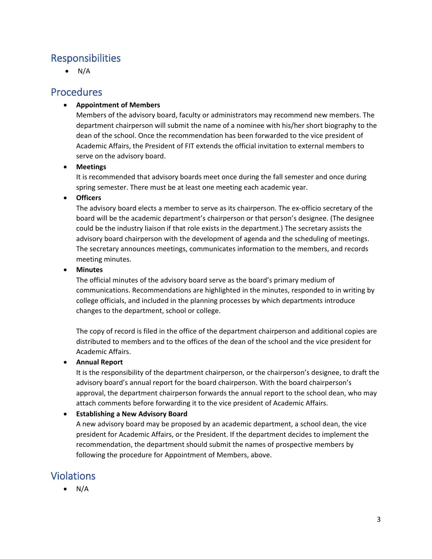# **Responsibilities**

 $\bullet$  N/A

### **Procedures**

### • **Appointment of Members**

Members of the advisory board, faculty or administrators may recommend new members. The department chairperson will submit the name of a nominee with his/her short biography to the dean of the school. Once the recommendation has been forwarded to the vice president of Academic Affairs, the President of FIT extends the official invitation to external members to serve on the advisory board.

### • **Meetings**

It is recommended that advisory boards meet once during the fall semester and once during spring semester. There must be at least one meeting each academic year.

### • **Officers**

The advisory board elects a member to serve as its chairperson. The ex-officio secretary of the board will be the academic department's chairperson or that person's designee. (The designee could be the industry liaison if that role exists in the department.) The secretary assists the advisory board chairperson with the development of agenda and the scheduling of meetings. The secretary announces meetings, communicates information to the members, and records meeting minutes.

### • **Minutes**

The official minutes of the advisory board serve as the board's primary medium of communications. Recommendations are highlighted in the minutes, responded to in writing by college officials, and included in the planning processes by which departments introduce changes to the department, school or college.

The copy of record is filed in the office of the department chairperson and additional copies are distributed to members and to the offices of the dean of the school and the vice president for Academic Affairs.

### • **Annual Report**

It is the responsibility of the department chairperson, or the chairperson's designee, to draft the advisory board's annual report for the board chairperson. With the board chairperson's approval, the department chairperson forwards the annual report to the school dean, who may attach comments before forwarding it to the vice president of Academic Affairs.

### • **Establishing a New Advisory Board**

A new advisory board may be proposed by an academic department, a school dean, the vice president for Academic Affairs, or the President. If the department decides to implement the recommendation, the department should submit the names of prospective members by following the procedure for Appointment of Members, above.

# Violations

 $\bullet$  N/A